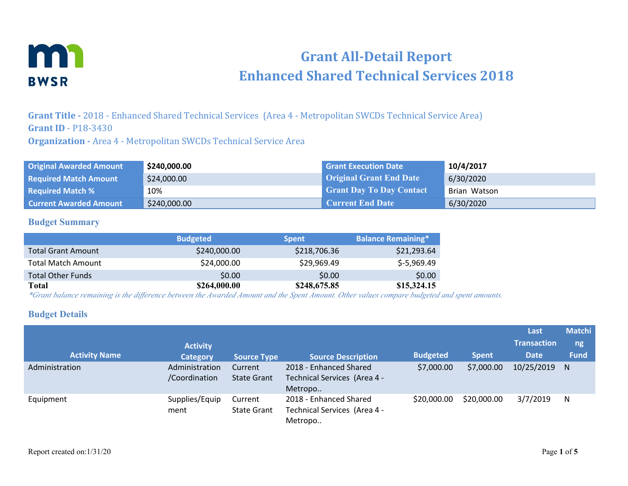

# **Grant All-Detail Report Enhanced Shared Technical Services 2018**

**Grant Title -** 2018 - Enhanced Shared Technical Services (Area 4 - Metropolitan SWCDs Technical Service Area) **Grant ID** - P18-3430

**Organization -** Area 4 - Metropolitan SWCDs Technical Service Area

| <b>Original Awarded Amount</b> | \$240,000.00 | <b>Grant Execution Date</b>     | 10/4/2017    |
|--------------------------------|--------------|---------------------------------|--------------|
| <b>Required Match Amount</b>   | \$24,000.00  | <b>Original Grant End Date</b>  | 6/30/2020    |
| <b>Required Match %</b>        | 10%          | <b>Grant Day To Day Contact</b> | Brian Watson |
| <b>Current Awarded Amount</b>  | \$240,000.00 | <b>Current End Date</b>         | 6/30/2020    |

#### **Budget Summary**

|                           | <b>Budgeted</b> | <b>Spent</b> | <b>Balance Remaining*</b> |
|---------------------------|-----------------|--------------|---------------------------|
| <b>Total Grant Amount</b> | \$240,000.00    | \$218,706.36 | \$21,293.64               |
| <b>Total Match Amount</b> | \$24,000.00     | \$29,969.49  | $$-5,969.49$              |
| <b>Total Other Funds</b>  | \$0.00          | \$0.00       | \$0.00                    |
| Total                     | \$264,000.00    | \$248,675.85 | \$15,324.15               |

*\*Grant balance remaining is the difference between the Awarded Amount and the Spent Amount. Other values compare budgeted and spent amounts.*

### **Budget Details**

|                      | <b>Activity</b>                 |                               |                                                                   |                 |              | Last<br><b>Transaction</b> | <b>Matchi</b><br>ng |
|----------------------|---------------------------------|-------------------------------|-------------------------------------------------------------------|-----------------|--------------|----------------------------|---------------------|
| <b>Activity Name</b> | <b>Category</b>                 | <b>Source Type</b>            | <b>Source Description</b>                                         | <b>Budgeted</b> | <b>Spent</b> | <b>Date</b>                | <b>Fund</b>         |
| Administration       | Administration<br>/Coordination | Current<br><b>State Grant</b> | 2018 - Enhanced Shared<br>Technical Services (Area 4 -<br>Metropo | \$7,000.00      | \$7,000.00   | 10/25/2019                 | <sup>N</sup>        |
| Equipment            | Supplies/Equip<br>ment          | Current<br><b>State Grant</b> | 2018 - Enhanced Shared<br>Technical Services (Area 4 -<br>Metropo | \$20,000.00     | \$20,000.00  | 3/7/2019                   | N                   |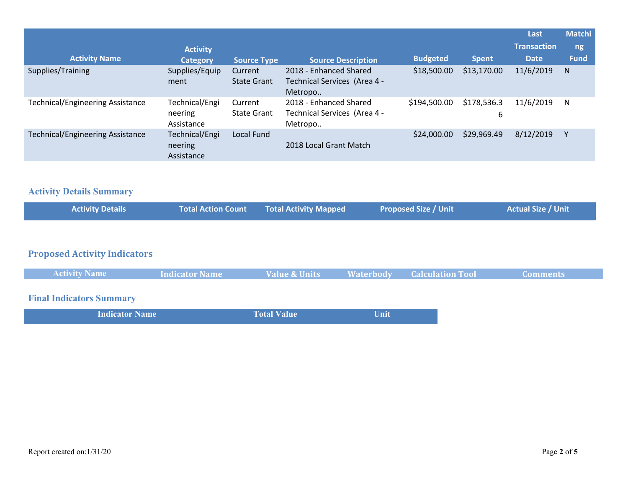|                                         |                 |                    |                              |                 |              | Last               | <b>Matchi</b> |
|-----------------------------------------|-----------------|--------------------|------------------------------|-----------------|--------------|--------------------|---------------|
|                                         | <b>Activity</b> |                    |                              |                 |              | <b>Transaction</b> | ng            |
| <b>Activity Name</b>                    | <b>Category</b> | <b>Source Type</b> | <b>Source Description</b>    | <b>Budgeted</b> | <b>Spent</b> | <b>Date</b>        | <b>Fund</b>   |
| Supplies/Training                       | Supplies/Equip  | Current            | 2018 - Enhanced Shared       | \$18,500.00     | \$13,170.00  | 11/6/2019          | N             |
|                                         | ment            | <b>State Grant</b> | Technical Services (Area 4 - |                 |              |                    |               |
|                                         |                 |                    | Metropo                      |                 |              |                    |               |
| <b>Technical/Engineering Assistance</b> | Technical/Engi  | Current            | 2018 - Enhanced Shared       | \$194,500.00    | \$178,536.3  | 11/6/2019          | N             |
|                                         | neering         | <b>State Grant</b> | Technical Services (Area 4 - |                 | 6            |                    |               |
|                                         | Assistance      |                    | Metropo                      |                 |              |                    |               |
| <b>Technical/Engineering Assistance</b> | Technical/Engi  | Local Fund         |                              | \$24,000.00     | \$29,969.49  | 8/12/2019          |               |
|                                         | neering         |                    | 2018 Local Grant Match       |                 |              |                    |               |
|                                         | Assistance      |                    |                              |                 |              |                    |               |

### **Activity Details Summary**

| <b>Activity Details</b> | Total Action Count Total Activity Mapped | <b>Proposed Size / Unit</b> | Actual Size / Unit |
|-------------------------|------------------------------------------|-----------------------------|--------------------|
|                         |                                          |                             |                    |

## **Proposed Activity Indicators**

| <b>Activity Name</b>                             | Indicator Name | <b>Value &amp; Units</b> | <b>Example 18 Materbody</b> Calculation Tool | <b>Comments</b> |
|--------------------------------------------------|----------------|--------------------------|----------------------------------------------|-----------------|
|                                                  |                |                          |                                              |                 |
| $\sim$ $\sim$ $\sim$ $\sim$ $\sim$ $\sim$ $\sim$ |                |                          |                                              |                 |

### **Final Indicators Summary**

| <b>Indicator Name</b> | <b>Total Value</b> | Unit |
|-----------------------|--------------------|------|
|                       |                    |      |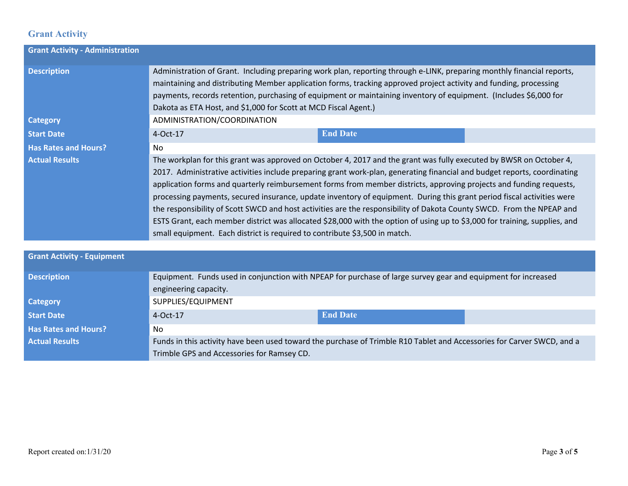### **Grant Activity**

| <b>Grant Activity - Administration</b> |                                                                                                                                                                                                                                                                                                                                                                                                                                                                                                                                                                                                                                                                                                                                                                                                                                      |                 |  |  |  |  |
|----------------------------------------|--------------------------------------------------------------------------------------------------------------------------------------------------------------------------------------------------------------------------------------------------------------------------------------------------------------------------------------------------------------------------------------------------------------------------------------------------------------------------------------------------------------------------------------------------------------------------------------------------------------------------------------------------------------------------------------------------------------------------------------------------------------------------------------------------------------------------------------|-----------------|--|--|--|--|
| <b>Description</b>                     | Administration of Grant. Including preparing work plan, reporting through e-LINK, preparing monthly financial reports,<br>maintaining and distributing Member application forms, tracking approved project activity and funding, processing<br>payments, records retention, purchasing of equipment or maintaining inventory of equipment. (Includes \$6,000 for<br>Dakota as ETA Host, and \$1,000 for Scott at MCD Fiscal Agent.)                                                                                                                                                                                                                                                                                                                                                                                                  |                 |  |  |  |  |
| <b>Category</b>                        | ADMINISTRATION/COORDINATION                                                                                                                                                                                                                                                                                                                                                                                                                                                                                                                                                                                                                                                                                                                                                                                                          |                 |  |  |  |  |
| <b>Start Date</b>                      | 4-Oct-17                                                                                                                                                                                                                                                                                                                                                                                                                                                                                                                                                                                                                                                                                                                                                                                                                             | <b>End Date</b> |  |  |  |  |
| <b>Has Rates and Hours?</b>            | <b>No</b>                                                                                                                                                                                                                                                                                                                                                                                                                                                                                                                                                                                                                                                                                                                                                                                                                            |                 |  |  |  |  |
| <b>Actual Results</b>                  | The workplan for this grant was approved on October 4, 2017 and the grant was fully executed by BWSR on October 4,<br>2017. Administrative activities include preparing grant work-plan, generating financial and budget reports, coordinating<br>application forms and quarterly reimbursement forms from member districts, approving projects and funding requests,<br>processing payments, secured insurance, update inventory of equipment. During this grant period fiscal activities were<br>the responsibility of Scott SWCD and host activities are the responsibility of Dakota County SWCD. From the NPEAP and<br>ESTS Grant, each member district was allocated \$28,000 with the option of using up to \$3,000 for training, supplies, and<br>small equipment. Each district is required to contribute \$3,500 in match. |                 |  |  |  |  |
|                                        |                                                                                                                                                                                                                                                                                                                                                                                                                                                                                                                                                                                                                                                                                                                                                                                                                                      |                 |  |  |  |  |
| <b>Grant Activity - Equipment</b>      |                                                                                                                                                                                                                                                                                                                                                                                                                                                                                                                                                                                                                                                                                                                                                                                                                                      |                 |  |  |  |  |
| <b>Description</b>                     | Equipment. Funds used in conjunction with NPEAP for purchase of large survey gear and equipment for increased<br>engineering capacity.                                                                                                                                                                                                                                                                                                                                                                                                                                                                                                                                                                                                                                                                                               |                 |  |  |  |  |
| <b>Category</b>                        | SUPPLIES/EQUIPMENT                                                                                                                                                                                                                                                                                                                                                                                                                                                                                                                                                                                                                                                                                                                                                                                                                   |                 |  |  |  |  |
| <b>Start Date</b>                      | $4-Oct-17$                                                                                                                                                                                                                                                                                                                                                                                                                                                                                                                                                                                                                                                                                                                                                                                                                           | <b>End Date</b> |  |  |  |  |

**Has Rates and Hours?** No

Actual Results **Funds in this activity have been used toward the purchase of Trimble R10 Tablet and Accessories for Carver SWCD, and a** Trimble GPS and Accessories for Ramsey CD.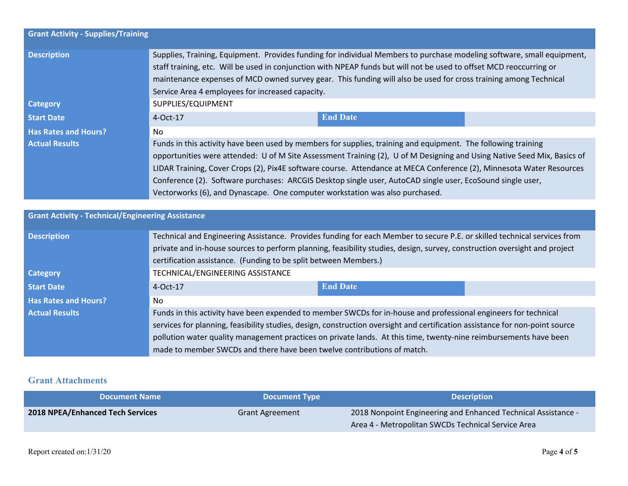| <b>Grant Activity - Supplies/Training</b>                |                                                                                                                                                                                                                                                                                                                                                                                                                                                                                                                                                                |                 |  |  |  |
|----------------------------------------------------------|----------------------------------------------------------------------------------------------------------------------------------------------------------------------------------------------------------------------------------------------------------------------------------------------------------------------------------------------------------------------------------------------------------------------------------------------------------------------------------------------------------------------------------------------------------------|-----------------|--|--|--|
| <b>Description</b>                                       | Supplies, Training, Equipment. Provides funding for individual Members to purchase modeling software, small equipment,<br>staff training, etc. Will be used in conjunction with NPEAP funds but will not be used to offset MCD reoccurring or<br>maintenance expenses of MCD owned survey gear. This funding will also be used for cross training among Technical<br>Service Area 4 employees for increased capacity.                                                                                                                                          |                 |  |  |  |
| <b>Category</b>                                          | SUPPLIES/EQUIPMENT                                                                                                                                                                                                                                                                                                                                                                                                                                                                                                                                             |                 |  |  |  |
| <b>Start Date</b>                                        | 4-Oct-17                                                                                                                                                                                                                                                                                                                                                                                                                                                                                                                                                       | <b>End Date</b> |  |  |  |
| <b>Has Rates and Hours?</b>                              | No                                                                                                                                                                                                                                                                                                                                                                                                                                                                                                                                                             |                 |  |  |  |
| <b>Actual Results</b>                                    | Funds in this activity have been used by members for supplies, training and equipment. The following training<br>opportunities were attended: U of M Site Assessment Training (2), U of M Designing and Using Native Seed Mix, Basics of<br>LIDAR Training, Cover Crops (2), Pix4E software course. Attendance at MECA Conference (2), Minnesota Water Resources<br>Conference (2). Software purchases: ARCGIS Desktop single user, AutoCAD single user, EcoSound single user,<br>Vectorworks (6), and Dynascape. One computer workstation was also purchased. |                 |  |  |  |
| <b>Grant Activity - Technical/Engineering Assistance</b> |                                                                                                                                                                                                                                                                                                                                                                                                                                                                                                                                                                |                 |  |  |  |
| <b>Description</b>                                       | Technical and Engineering Assistance. Provides funding for each Member to secure P.E. or skilled technical services from<br>private and in-house sources to perform planning, feasibility studies, design, survey, construction oversight and project<br>certification assistance. (Funding to be split between Members.)                                                                                                                                                                                                                                      |                 |  |  |  |
| <b>Category</b>                                          | TECHNICAL/ENGINEERING ASSISTANCE                                                                                                                                                                                                                                                                                                                                                                                                                                                                                                                               |                 |  |  |  |
| <b>Start Date</b>                                        | 4-Oct-17                                                                                                                                                                                                                                                                                                                                                                                                                                                                                                                                                       | <b>End Date</b> |  |  |  |
| <b>Has Rates and Hours?</b>                              | No.                                                                                                                                                                                                                                                                                                                                                                                                                                                                                                                                                            |                 |  |  |  |
| <b>Actual Results</b>                                    | Funds in this activity have been expended to member SWCDs for in-house and professional engineers for technical<br>services for planning, feasibility studies, design, construction oversight and certification assistance for non-point source<br>pollution water quality management practices on private lands. At this time, twenty-nine reimbursements have been                                                                                                                                                                                           |                 |  |  |  |

### **Grant Attachments**

| <b>Document Name</b>                    | <b>Document Type \</b> | <b>Description</b>                                                                                                  |
|-----------------------------------------|------------------------|---------------------------------------------------------------------------------------------------------------------|
| <b>2018 NPEA/Enhanced Tech Services</b> | <b>Grant Agreement</b> | 2018 Nonpoint Engineering and Enhanced Technical Assistance -<br>Area 4 - Metropolitan SWCDs Technical Service Area |

made to member SWCDs and there have been twelve contributions of match.